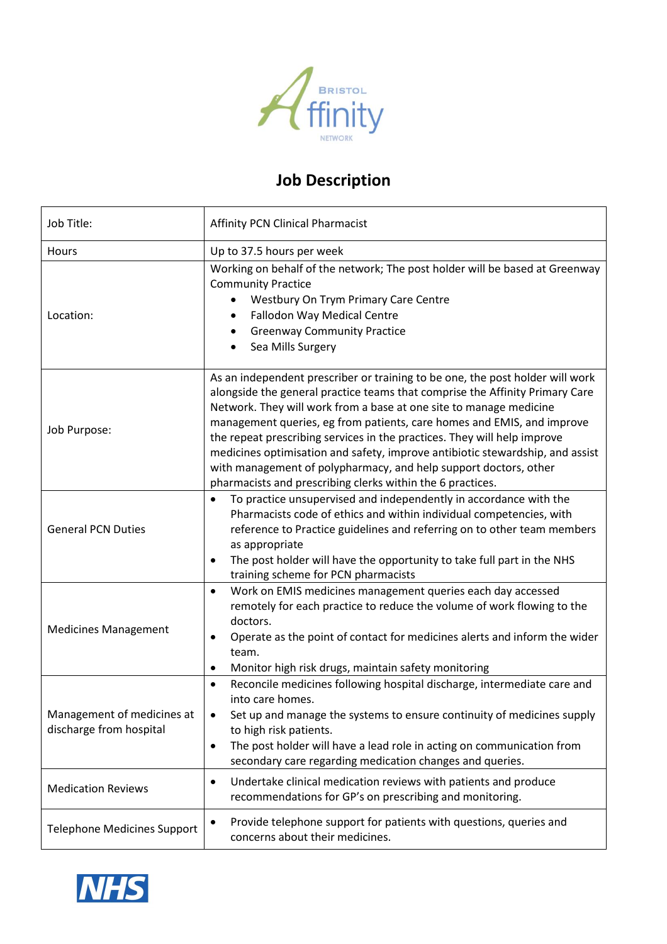

## **Job Description**

| Job Title:                                            | <b>Affinity PCN Clinical Pharmacist</b>                                                                                                                                                                                                                                                                                                                                                                                                                                                                                                                                                                      |  |  |
|-------------------------------------------------------|--------------------------------------------------------------------------------------------------------------------------------------------------------------------------------------------------------------------------------------------------------------------------------------------------------------------------------------------------------------------------------------------------------------------------------------------------------------------------------------------------------------------------------------------------------------------------------------------------------------|--|--|
| Hours                                                 | Up to 37.5 hours per week                                                                                                                                                                                                                                                                                                                                                                                                                                                                                                                                                                                    |  |  |
| Location:                                             | Working on behalf of the network; The post holder will be based at Greenway<br><b>Community Practice</b><br>Westbury On Trym Primary Care Centre<br>Fallodon Way Medical Centre<br>٠<br><b>Greenway Community Practice</b><br>Sea Mills Surgery<br>٠                                                                                                                                                                                                                                                                                                                                                         |  |  |
| Job Purpose:                                          | As an independent prescriber or training to be one, the post holder will work<br>alongside the general practice teams that comprise the Affinity Primary Care<br>Network. They will work from a base at one site to manage medicine<br>management queries, eg from patients, care homes and EMIS, and improve<br>the repeat prescribing services in the practices. They will help improve<br>medicines optimisation and safety, improve antibiotic stewardship, and assist<br>with management of polypharmacy, and help support doctors, other<br>pharmacists and prescribing clerks within the 6 practices. |  |  |
| <b>General PCN Duties</b>                             | To practice unsupervised and independently in accordance with the<br>Pharmacists code of ethics and within individual competencies, with<br>reference to Practice guidelines and referring on to other team members<br>as appropriate<br>The post holder will have the opportunity to take full part in the NHS<br>$\bullet$<br>training scheme for PCN pharmacists                                                                                                                                                                                                                                          |  |  |
| <b>Medicines Management</b>                           | Work on EMIS medicines management queries each day accessed<br>$\bullet$<br>remotely for each practice to reduce the volume of work flowing to the<br>doctors.<br>Operate as the point of contact for medicines alerts and inform the wider<br>$\bullet$<br>team.<br>Monitor high risk drugs, maintain safety monitoring                                                                                                                                                                                                                                                                                     |  |  |
| Management of medicines at<br>discharge from hospital | Reconcile medicines following hospital discharge, intermediate care and<br>$\bullet$<br>into care homes.<br>Set up and manage the systems to ensure continuity of medicines supply<br>to high risk patients.<br>The post holder will have a lead role in acting on communication from<br>$\bullet$<br>secondary care regarding medication changes and queries.                                                                                                                                                                                                                                               |  |  |
| <b>Medication Reviews</b>                             | Undertake clinical medication reviews with patients and produce<br>$\bullet$<br>recommendations for GP's on prescribing and monitoring.                                                                                                                                                                                                                                                                                                                                                                                                                                                                      |  |  |
| <b>Telephone Medicines Support</b>                    | Provide telephone support for patients with questions, queries and<br>٠<br>concerns about their medicines.                                                                                                                                                                                                                                                                                                                                                                                                                                                                                                   |  |  |

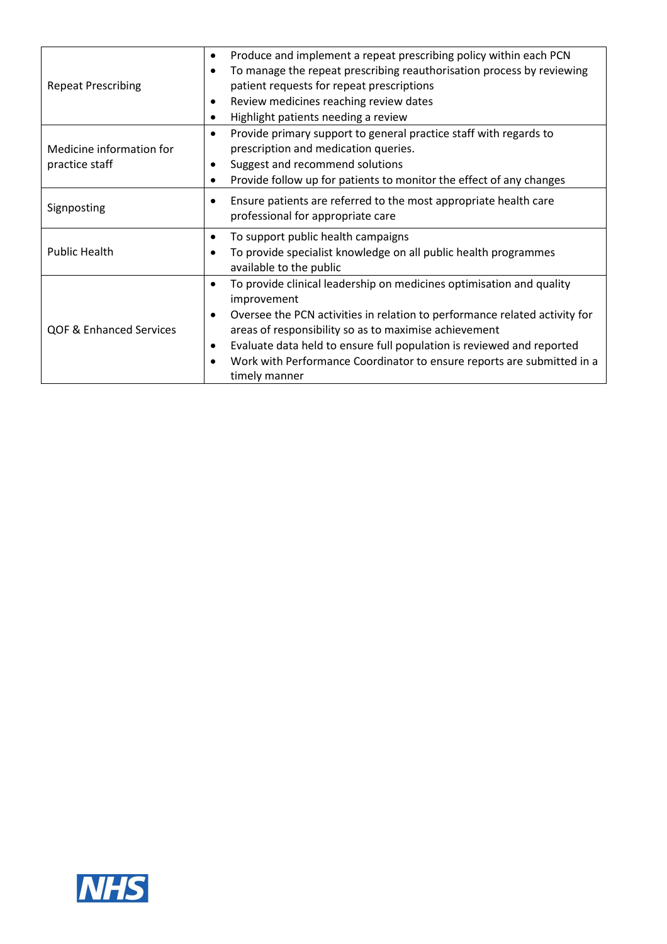| <b>Repeat Prescribing</b>                  | Produce and implement a repeat prescribing policy within each PCN<br>$\bullet$<br>To manage the repeat prescribing reauthorisation process by reviewing<br>patient requests for repeat prescriptions<br>Review medicines reaching review dates<br>$\bullet$<br>Highlight patients needing a review                                                                                                                                                 |
|--------------------------------------------|----------------------------------------------------------------------------------------------------------------------------------------------------------------------------------------------------------------------------------------------------------------------------------------------------------------------------------------------------------------------------------------------------------------------------------------------------|
| Medicine information for<br>practice staff | Provide primary support to general practice staff with regards to<br>$\bullet$<br>prescription and medication queries.<br>Suggest and recommend solutions<br>Provide follow up for patients to monitor the effect of any changes<br>$\bullet$                                                                                                                                                                                                      |
| Signposting                                | Ensure patients are referred to the most appropriate health care<br>professional for appropriate care                                                                                                                                                                                                                                                                                                                                              |
| <b>Public Health</b>                       | To support public health campaigns<br>٠<br>To provide specialist knowledge on all public health programmes<br>$\bullet$<br>available to the public                                                                                                                                                                                                                                                                                                 |
| <b>QOF &amp; Enhanced Services</b>         | To provide clinical leadership on medicines optimisation and quality<br>$\bullet$<br>improvement<br>Oversee the PCN activities in relation to performance related activity for<br>$\bullet$<br>areas of responsibility so as to maximise achievement<br>Evaluate data held to ensure full population is reviewed and reported<br>$\bullet$<br>Work with Performance Coordinator to ensure reports are submitted in a<br>$\bullet$<br>timely manner |

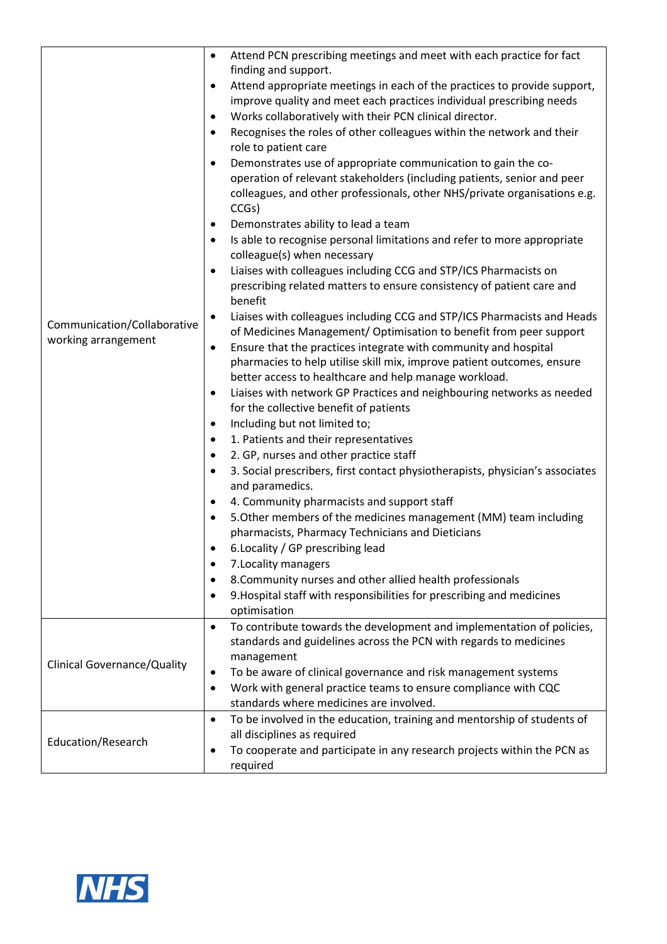|                                                    | Attend PCN prescribing meetings and meet with each practice for fact<br>$\bullet$                                      |
|----------------------------------------------------|------------------------------------------------------------------------------------------------------------------------|
|                                                    | finding and support.                                                                                                   |
|                                                    | Attend appropriate meetings in each of the practices to provide support,<br>$\bullet$                                  |
|                                                    | improve quality and meet each practices individual prescribing needs                                                   |
|                                                    | Works collaboratively with their PCN clinical director.<br>٠                                                           |
|                                                    | Recognises the roles of other colleagues within the network and their                                                  |
|                                                    | role to patient care                                                                                                   |
|                                                    | Demonstrates use of appropriate communication to gain the co-                                                          |
|                                                    | operation of relevant stakeholders (including patients, senior and peer                                                |
|                                                    | colleagues, and other professionals, other NHS/private organisations e.g.                                              |
|                                                    | CCGs)                                                                                                                  |
|                                                    | Demonstrates ability to lead a team<br>٠                                                                               |
|                                                    | Is able to recognise personal limitations and refer to more appropriate                                                |
|                                                    | colleague(s) when necessary                                                                                            |
|                                                    | Liaises with colleagues including CCG and STP/ICS Pharmacists on<br>$\bullet$                                          |
|                                                    | prescribing related matters to ensure consistency of patient care and                                                  |
|                                                    | benefit                                                                                                                |
|                                                    | Liaises with colleagues including CCG and STP/ICS Pharmacists and Heads<br>٠                                           |
| Communication/Collaborative<br>working arrangement | of Medicines Management/ Optimisation to benefit from peer support                                                     |
|                                                    | Ensure that the practices integrate with community and hospital<br>٠                                                   |
|                                                    | pharmacies to help utilise skill mix, improve patient outcomes, ensure                                                 |
|                                                    | better access to healthcare and help manage workload.                                                                  |
|                                                    | Liaises with network GP Practices and neighbouring networks as needed<br>$\bullet$                                     |
|                                                    | for the collective benefit of patients                                                                                 |
|                                                    | Including but not limited to;<br>٠                                                                                     |
|                                                    | 1. Patients and their representatives                                                                                  |
|                                                    | 2. GP, nurses and other practice staff<br>٠                                                                            |
|                                                    | 3. Social prescribers, first contact physiotherapists, physician's associates                                          |
|                                                    | and paramedics.                                                                                                        |
|                                                    | 4. Community pharmacists and support staff                                                                             |
|                                                    | 5. Other members of the medicines management (MM) team including<br>٠                                                  |
|                                                    | pharmacists, Pharmacy Technicians and Dieticians                                                                       |
|                                                    | 6.Locality / GP prescribing lead                                                                                       |
|                                                    | 7. Locality managers<br>٠                                                                                              |
|                                                    | 8. Community nurses and other allied health professionals<br>٠                                                         |
|                                                    | 9. Hospital staff with responsibilities for prescribing and medicines<br>٠                                             |
|                                                    | optimisation                                                                                                           |
|                                                    | To contribute towards the development and implementation of policies,<br>$\bullet$                                     |
|                                                    | standards and guidelines across the PCN with regards to medicines                                                      |
| <b>Clinical Governance/Quality</b>                 | management                                                                                                             |
|                                                    | To be aware of clinical governance and risk management systems<br>٠                                                    |
|                                                    | Work with general practice teams to ensure compliance with CQC<br>$\bullet$<br>standards where medicines are involved. |
|                                                    | To be involved in the education, training and mentorship of students of<br>$\bullet$                                   |
|                                                    | all disciplines as required                                                                                            |
| Education/Research                                 | To cooperate and participate in any research projects within the PCN as<br>$\bullet$                                   |
|                                                    | required                                                                                                               |
|                                                    |                                                                                                                        |

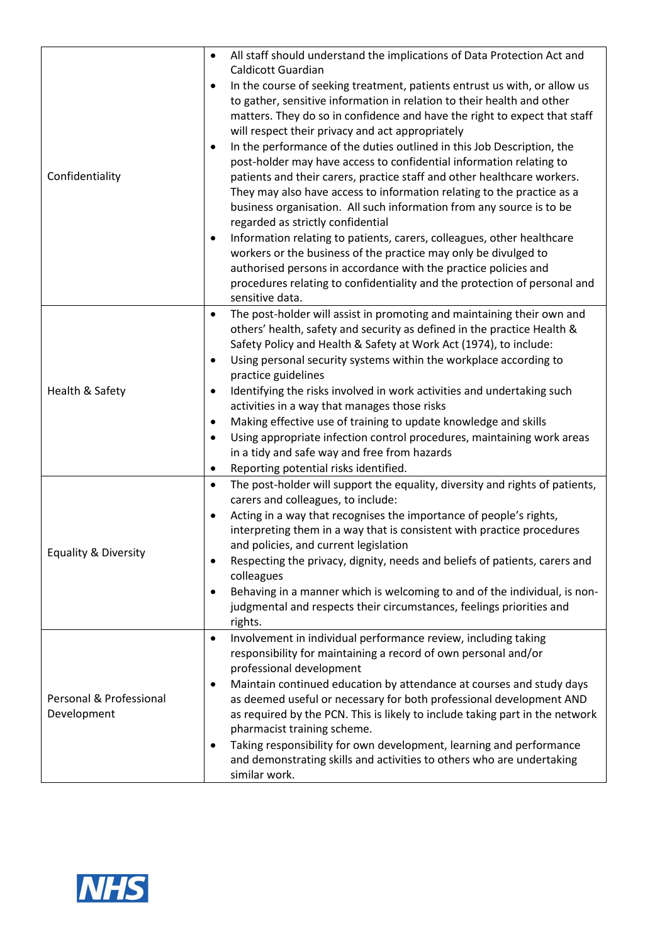|                                        | $\bullet$ | All staff should understand the implications of Data Protection Act and                                            |
|----------------------------------------|-----------|--------------------------------------------------------------------------------------------------------------------|
|                                        |           | Caldicott Guardian                                                                                                 |
|                                        | $\bullet$ | In the course of seeking treatment, patients entrust us with, or allow us                                          |
|                                        |           | to gather, sensitive information in relation to their health and other                                             |
|                                        |           | matters. They do so in confidence and have the right to expect that staff                                          |
|                                        |           | will respect their privacy and act appropriately                                                                   |
|                                        | ٠         | In the performance of the duties outlined in this Job Description, the                                             |
|                                        |           | post-holder may have access to confidential information relating to                                                |
| Confidentiality                        |           | patients and their carers, practice staff and other healthcare workers.                                            |
|                                        |           | They may also have access to information relating to the practice as a                                             |
|                                        |           | business organisation. All such information from any source is to be                                               |
|                                        |           | regarded as strictly confidential                                                                                  |
|                                        | $\bullet$ | Information relating to patients, carers, colleagues, other healthcare                                             |
|                                        |           | workers or the business of the practice may only be divulged to                                                    |
|                                        |           | authorised persons in accordance with the practice policies and                                                    |
|                                        |           | procedures relating to confidentiality and the protection of personal and                                          |
|                                        |           | sensitive data.                                                                                                    |
|                                        | $\bullet$ | The post-holder will assist in promoting and maintaining their own and                                             |
|                                        |           | others' health, safety and security as defined in the practice Health &                                            |
|                                        |           | Safety Policy and Health & Safety at Work Act (1974), to include:                                                  |
|                                        | $\bullet$ | Using personal security systems within the workplace according to                                                  |
|                                        |           | practice guidelines                                                                                                |
| Health & Safety                        | $\bullet$ | Identifying the risks involved in work activities and undertaking such                                             |
|                                        |           | activities in a way that manages those risks                                                                       |
|                                        | $\bullet$ | Making effective use of training to update knowledge and skills                                                    |
|                                        | ٠         | Using appropriate infection control procedures, maintaining work areas                                             |
|                                        |           | in a tidy and safe way and free from hazards                                                                       |
|                                        | ٠         | Reporting potential risks identified.                                                                              |
|                                        | $\bullet$ | The post-holder will support the equality, diversity and rights of patients,<br>carers and colleagues, to include: |
|                                        | $\bullet$ | Acting in a way that recognises the importance of people's rights,                                                 |
|                                        |           | interpreting them in a way that is consistent with practice procedures                                             |
|                                        |           | and policies, and current legislation                                                                              |
| Equality & Diversity                   | $\bullet$ | Respecting the privacy, dignity, needs and beliefs of patients, carers and                                         |
|                                        |           | colleagues                                                                                                         |
|                                        | $\bullet$ | Behaving in a manner which is welcoming to and of the individual, is non-                                          |
|                                        |           | judgmental and respects their circumstances, feelings priorities and                                               |
|                                        |           | rights.                                                                                                            |
|                                        | $\bullet$ | Involvement in individual performance review, including taking                                                     |
| Personal & Professional<br>Development |           | responsibility for maintaining a record of own personal and/or                                                     |
|                                        |           | professional development                                                                                           |
|                                        | ٠         | Maintain continued education by attendance at courses and study days                                               |
|                                        |           | as deemed useful or necessary for both professional development AND                                                |
|                                        |           | as required by the PCN. This is likely to include taking part in the network                                       |
|                                        |           | pharmacist training scheme.                                                                                        |
|                                        | $\bullet$ | Taking responsibility for own development, learning and performance                                                |
|                                        |           | and demonstrating skills and activities to others who are undertaking                                              |
|                                        |           | similar work.                                                                                                      |